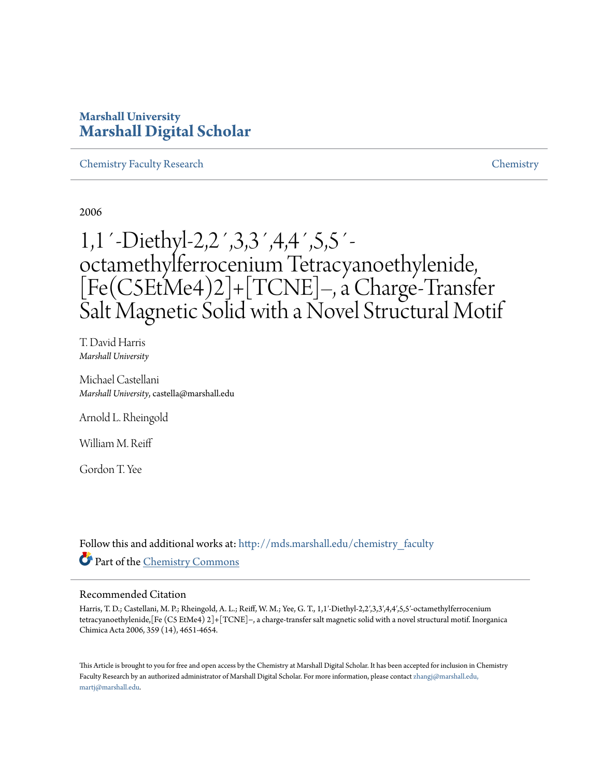# **Marshall University [Marshall Digital Scholar](http://mds.marshall.edu?utm_source=mds.marshall.edu%2Fchemistry_faculty%2F19&utm_medium=PDF&utm_campaign=PDFCoverPages)**

[Chemistry Faculty Research](http://mds.marshall.edu/chemistry_faculty?utm_source=mds.marshall.edu%2Fchemistry_faculty%2F19&utm_medium=PDF&utm_campaign=PDFCoverPages) [Chemistry](http://mds.marshall.edu/chemistry?utm_source=mds.marshall.edu%2Fchemistry_faculty%2F19&utm_medium=PDF&utm_campaign=PDFCoverPages)

2006

# 1,1´-Diethyl-2,2´,3,3´,4,4´,5,5´ octamethylferrocenium Tetracyanoethylenide, [Fe(C5EtMe4)2]+[TCNE]–, a Charge-Transfer Salt Magnetic Solid with a Novel Structural Motif

T. David Harris *Marshall University*

Michael Castellani *Marshall University*, castella@marshall.edu

Arnold L. Rheingold

William M. Reiff

Gordon T. Yee

Follow this and additional works at: [http://mds.marshall.edu/chemistry\\_faculty](http://mds.marshall.edu/chemistry_faculty?utm_source=mds.marshall.edu%2Fchemistry_faculty%2F19&utm_medium=PDF&utm_campaign=PDFCoverPages) Part of the [Chemistry Commons](http://network.bepress.com/hgg/discipline/131?utm_source=mds.marshall.edu%2Fchemistry_faculty%2F19&utm_medium=PDF&utm_campaign=PDFCoverPages)

#### Recommended Citation

Harris, T. D.; Castellani, M. P.; Rheingold, A. L.; Reiff, W. M.; Yee, G. T., 1,1′-Diethyl-2,2′,3,3′,4,4′,5,5′-octamethylferrocenium tetracyanoethylenide,[Fe (C5 EtMe4) 2]+[TCNE]−, a charge-transfer salt magnetic solid with a novel structural motif. Inorganica Chimica Acta 2006, 359 (14), 4651-4654.

This Article is brought to you for free and open access by the Chemistry at Marshall Digital Scholar. It has been accepted for inclusion in Chemistry Faculty Research by an authorized administrator of Marshall Digital Scholar. For more information, please contact [zhangj@marshall.edu,](mailto:zhangj@marshall.edu,%20martj@marshall.edu) [martj@marshall.edu](mailto:zhangj@marshall.edu,%20martj@marshall.edu).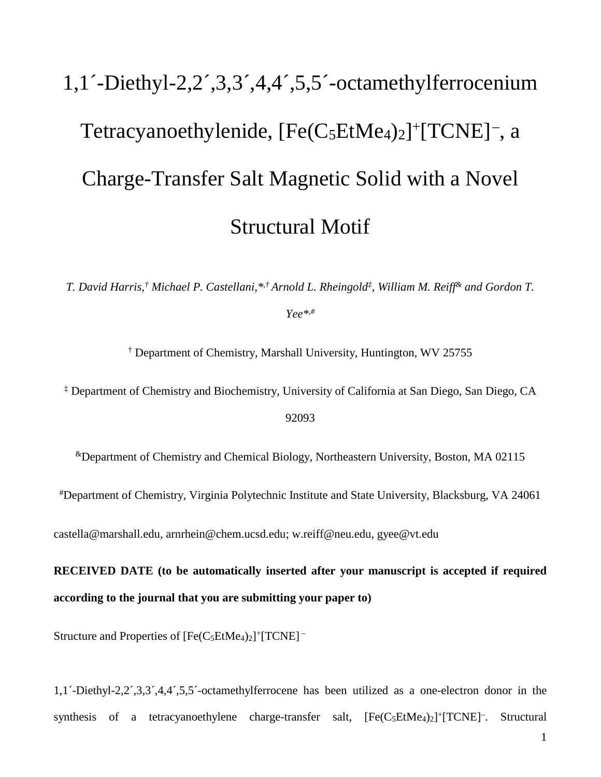# 1,1´-Diethyl-2,2´,3,3´,4,4´,5,5´-octamethylferrocenium Tetracyanoethylenide, [Fe(C<sub>5</sub>EtMe<sub>4</sub>)<sub>2</sub>]+[TCNE]<sup>-</sup>, a Charge-Transfer Salt Magnetic Solid with a Novel Structural Motif

*T. David Harris,† Michael P. Castellani,\*,† Arnold L. Rheingold‡, William M. Reiff& and Gordon T. Yee\*,#*

† Department of Chemistry, Marshall University, Huntington, WV 25755

‡ Department of Chemistry and Biochemistry, University of California at San Diego, San Diego, CA 92093

&Department of Chemistry and Chemical Biology, Northeastern University, Boston, MA 02115

#Department of Chemistry, Virginia Polytechnic Institute and State University, Blacksburg, VA 24061

castella@marshall.edu, arnrhein@chem.ucsd.edu; w.reiff@neu.edu, [gyee@vt.edu](mailto:gyee@vt.edu)

**RECEIVED DATE (to be automatically inserted after your manuscript is accepted if required according to the journal that you are submitting your paper to)**

Structure and Properties of  $[Fe(C_5EtMe_4)_2]^+ [TCNE]^-$ 

1,1´-Diethyl-2,2´,3,3´,4,4´,5,5´-octamethylferrocene has been utilized as a one-electron donor in the synthesis of a tetracyanoethylene charge-transfer salt,  $[Fe(C_5EtMe<sub>4</sub>)<sub>2</sub>]<sup>+</sup>[TCNE]<sup>-</sup>$ . Structural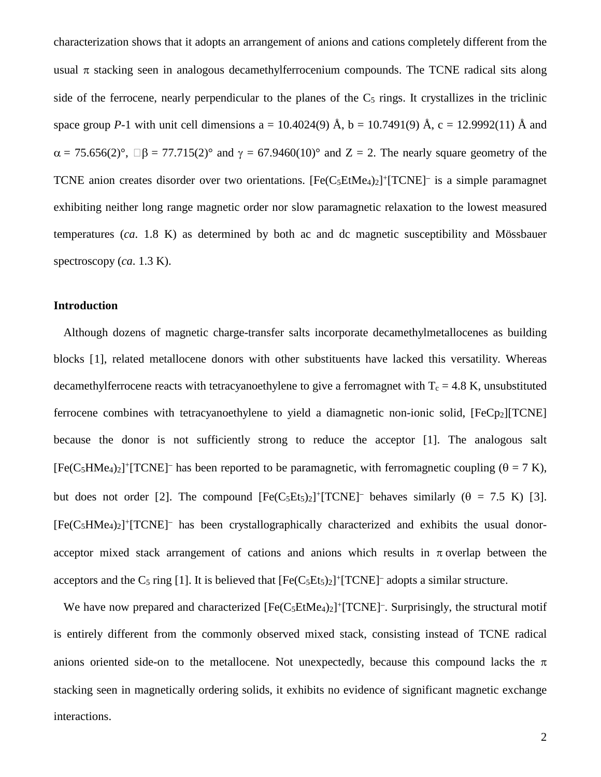characterization shows that it adopts an arrangement of anions and cations completely different from the usual  $\pi$  stacking seen in analogous decamethylferrocenium compounds. The TCNE radical sits along side of the ferrocene, nearly perpendicular to the planes of the  $C_5$  rings. It crystallizes in the triclinic space group *P*-1 with unit cell dimensions  $a = 10.4024(9)$  Å,  $b = 10.7491(9)$  Å,  $c = 12.9992(11)$  Å and  $\alpha = 75.656(2)$ °,  $\Box \beta = 77.715(2)$ ° and  $\gamma = 67.9460(10)$ ° and  $Z = 2$ . The nearly square geometry of the TCNE anion creates disorder over two orientations.  $[Fe(C_5EtMe<sub>4</sub>)<sub>2</sub>]+[TCNE]$  is a simple paramagnet exhibiting neither long range magnetic order nor slow paramagnetic relaxation to the lowest measured temperatures (*ca*. 1.8 K) as determined by both ac and dc magnetic susceptibility and Mössbauer spectroscopy (*ca*. 1.3 K).

#### **Introduction**

<span id="page-2-0"></span>Although dozens of magnetic charge-transfer salts incorporate decamethylmetallocenes as building blocks [[1](#page-11-0)], related metallocene donors with other substituents have lacked this versatility. Whereas decamethylferrocene reacts with tetracyanoethylene to give a ferromagnet with  $T_c = 4.8$  K, unsubstituted ferrocene combines with tetracyanoethylene to yield a diamagnetic non-ionic solid, [FeCp<sub>2</sub>][TCNE] because the donor is not sufficiently strong to reduce the acceptor [\[1\]](#page-2-0). The analogous salt  $[Fe(C<sub>5</sub>HMe<sub>4</sub>)<sub>2</sub>]$ <sup>+</sup>[TCNE]<sup>-</sup> has been reported to be paramagnetic, with ferromagnetic coupling ( $\theta = 7$  K), but does not order [[2](#page-11-1)]. The compound  $[Fe(C_5Et_5)_2]^+ [TCNE]^-$  behaves similarly ( $\theta = 7.5$  K) [[3](#page-11-2)].  $[Fe(C<sub>5</sub>HMe<sub>4</sub>)<sub>2</sub>]$ <sup>+</sup>[TCNE]<sup>-</sup> has been crystallographically characterized and exhibits the usual donoracceptor mixed stack arrangement of cations and anions which results in  $\pi$  overlap between the acceptors and the  $C_5$  ring [\[1\]](#page-2-0). It is believed that  $[Fe(C_5Et_5)_2]^+ [TCNE]^-$  adopts a similar structure.

<span id="page-2-1"></span>We have now prepared and characterized  $[Fe(C_5EtMe<sub>4</sub>)<sub>2</sub>]$ <sup>+</sup>[TCNE]<sup>-</sup>. Surprisingly, the structural motif is entirely different from the commonly observed mixed stack, consisting instead of TCNE radical anions oriented side-on to the metallocene. Not unexpectedly, because this compound lacks the  $\pi$ stacking seen in magnetically ordering solids, it exhibits no evidence of significant magnetic exchange interactions.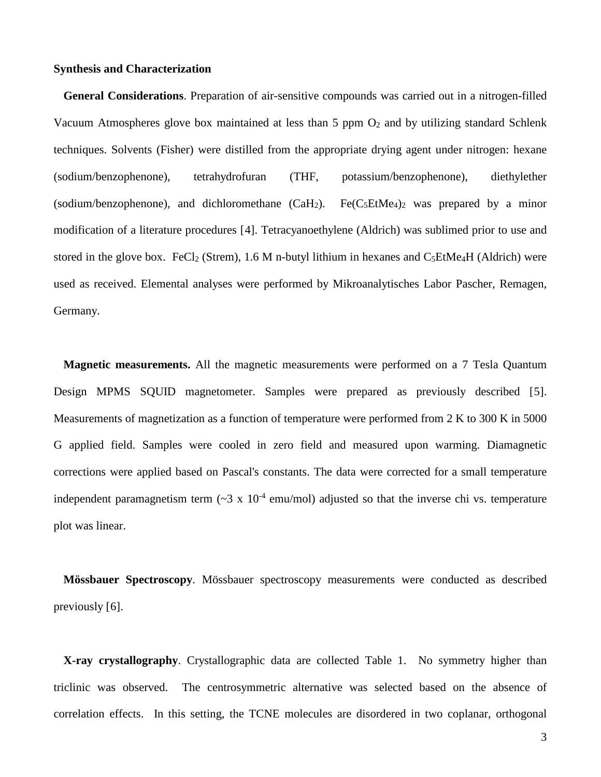#### **Synthesis and Characterization**

**General Considerations**. Preparation of air-sensitive compounds was carried out in a nitrogen-filled Vacuum Atmospheres glove box maintained at less than 5 ppm  $O_2$  and by utilizing standard Schlenk techniques. Solvents (Fisher) were distilled from the appropriate drying agent under nitrogen: hexane (sodium/benzophenone), tetrahydrofuran (THF, potassium/benzophenone), diethylether (sodium/benzophenone), and dichloromethane  $(CaH_2)$ . Fe(C<sub>5</sub>EtMe<sub>4</sub>)<sub>2</sub> was prepared by a minor modification of a literature procedures [[4](#page-11-3)]. Tetracyanoethylene (Aldrich) was sublimed prior to use and stored in the glove box. FeCl<sub>2</sub> (Strem), 1.6 M n-butyl lithium in hexanes and  $C_5EtMe<sub>4</sub>H$  (Aldrich) were used as received. Elemental analyses were performed by Mikroanalytisches Labor Pascher, Remagen, Germany.

**Magnetic measurements.** All the magnetic measurements were performed on a 7 Tesla Quantum Design MPMS SQUID magnetometer. Samples were prepared as previously described [[5](#page-11-4)]. Measurements of magnetization as a function of temperature were performed from 2 K to 300 K in 5000 G applied field. Samples were cooled in zero field and measured upon warming. Diamagnetic corrections were applied based on Pascal's constants. The data were corrected for a small temperature independent paramagnetism term  $({}^{\sim}3 \times 10^{4}$  emu/mol) adjusted so that the inverse chi vs. temperature plot was linear.

**Mössbauer Spectroscopy**. Mössbauer spectroscopy measurements were conducted as described previously [[6\]](#page-11-5).

**X-ray crystallography**. Crystallographic data are collected Table 1. No symmetry higher than triclinic was observed. The centrosymmetric alternative was selected based on the absence of correlation effects. In this setting, the TCNE molecules are disordered in two coplanar, orthogonal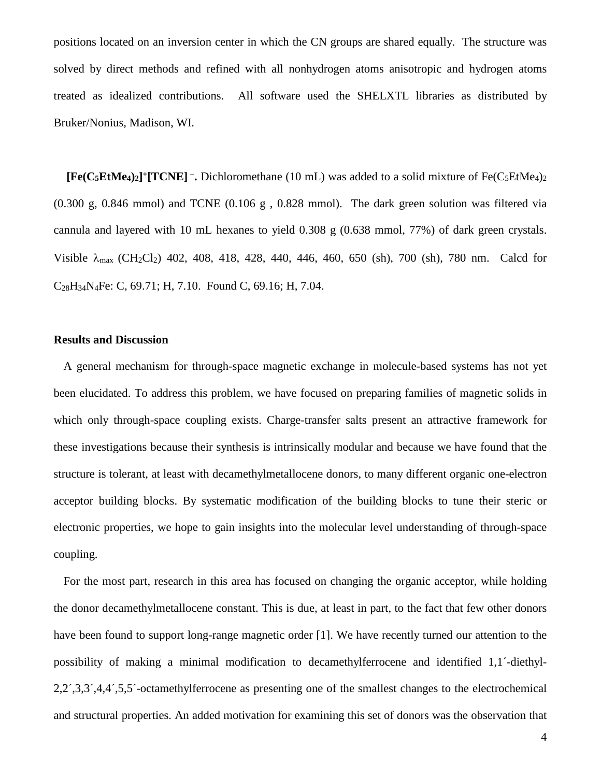positions located on an inversion center in which the CN groups are shared equally. The structure was solved by direct methods and refined with all nonhydrogen atoms anisotropic and hydrogen atoms treated as idealized contributions. All software used the SHELXTL libraries as distributed by Bruker/Nonius, Madison, WI.

 $[Fe(C_5EtMe_4)_2]$ <sup>+</sup> $[TCNE]$   $\overline{\phantom{a}}$ . Dichloromethane (10 mL) was added to a solid mixture of Fe(C<sub>5</sub>EtMe<sub>4</sub>)<sub>2</sub> (0.300 g, 0.846 mmol) and TCNE (0.106 g , 0.828 mmol). The dark green solution was filtered via cannula and layered with 10 mL hexanes to yield 0.308 g (0.638 mmol, 77%) of dark green crystals. Visible  $\lambda_{\text{max}}$  (CH<sub>2</sub>Cl<sub>2</sub>) 402, 408, 418, 428, 440, 446, 460, 650 (sh), 700 (sh), 780 nm. Calcd for C28H34N4Fe: C, 69.71; H, 7.10. Found C, 69.16; H, 7.04.

# **Results and Discussion**

A general mechanism for through-space magnetic exchange in molecule-based systems has not yet been elucidated. To address this problem, we have focused on preparing families of magnetic solids in which only through-space coupling exists. Charge-transfer salts present an attractive framework for these investigations because their synthesis is intrinsically modular and because we have found that the structure is tolerant, at least with decamethylmetallocene donors, to many different organic one-electron acceptor building blocks. By systematic modification of the building blocks to tune their steric or electronic properties, we hope to gain insights into the molecular level understanding of through-space coupling.

For the most part, research in this area has focused on changing the organic acceptor, while holding the donor decamethylmetallocene constant. This is due, at least in part, to the fact that few other donors have been found to support long-range magnetic order [\[1\]](#page-2-0). We have recently turned our attention to the possibility of making a minimal modification to decamethylferrocene and identified 1,1´-diethyl-2,2´,3,3´,4,4´,5,5´-octamethylferrocene as presenting one of the smallest changes to the electrochemical and structural properties. An added motivation for examining this set of donors was the observation that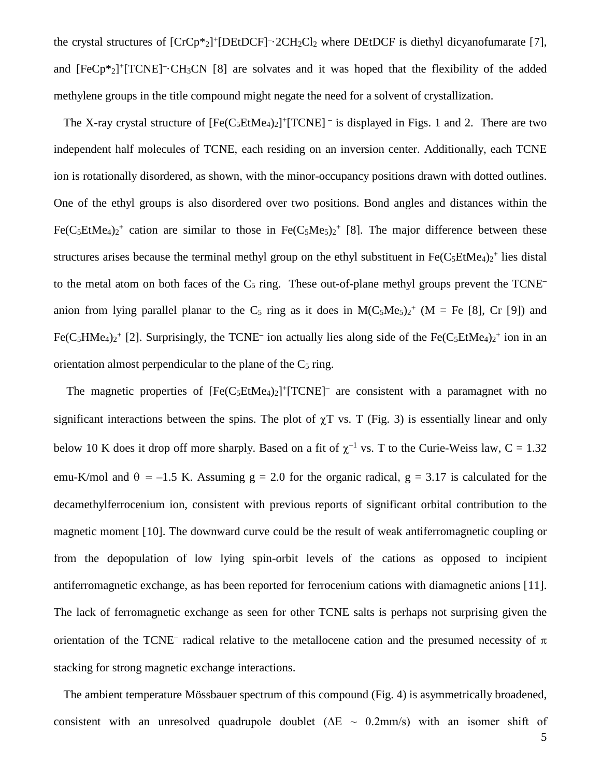<span id="page-5-0"></span>the crystal structures of  $[CrCp*2]^+ [DEt DCF]$ <sup>-</sup> $\cdot$ 2CH<sub>2</sub>Cl<sub>2</sub> where DEtDCF is diethyl dicyanofumarate [[7](#page-11-6)], and  $[FeCp^*2]^+ [TCNE] \cdot CH_3CN [8]$  $[FeCp^*2]^+ [TCNE] \cdot CH_3CN [8]$  are solvates and it was hoped that the flexibility of the added methylene groups in the title compound might negate the need for a solvent of crystallization.

The X-ray crystal structure of  $[Fe(C_5EtMe<sub>4</sub>)<sub>2</sub>]$ <sup>+</sup>[TCNE]<sup>-</sup> is displayed in Figs. 1 and 2. There are two independent half molecules of TCNE, each residing on an inversion center. Additionally, each TCNE ion is rotationally disordered, as shown, with the minor-occupancy positions drawn with dotted outlines. One of the ethyl groups is also disordered over two positions. Bond angles and distances within the Fe(C<sub>5</sub>EtMe<sub>4</sub>)<sub>2</sub><sup>+</sup> cation are similar to those in Fe(C<sub>5</sub>Me<sub>5</sub>)<sub>2</sub><sup>+</sup> [\[8\]](#page-5-0). The major difference between these structures arises because the terminal methyl group on the ethyl substituent in  $Fe(C_5EtMe<sub>4</sub>)<sub>2</sub>$ <sup>+</sup> lies distal to the metal atom on both faces of the  $C_5$  ring. These out-of-plane methyl groups prevent the TCNE– anion from lying parallel planar to the  $C_5$  ring as it does in  $M(C_5Me_5)_2^+$  (M = Fe [\[8\]](#page-5-0), Cr [[9\]](#page-11-8)) and Fe(C<sub>5</sub>HMe<sub>4</sub>)<sub>2</sub><sup>+</sup> [\[2\]](#page-2-1). Surprisingly, the TCNE<sup>-</sup> ion actually lies along side of the Fe(C<sub>5</sub>EtMe<sub>4</sub>)<sub>2</sub><sup>+</sup> ion in an orientation almost perpendicular to the plane of the  $C_5$  ring.

The magnetic properties of  $[Fe(C_5EtMe<sub>4</sub>)<sub>2</sub>]<sup>+</sup>[TCNE]<sup>-</sup>$  are consistent with a paramagnet with no significant interactions between the spins. The plot of  $\chi$ T vs. T (Fig. 3) is essentially linear and only below 10 K does it drop off more sharply. Based on a fit of  $\chi^{-1}$  vs. T to the Curie-Weiss law, C = 1.32 emu-K/mol and  $\theta = -1.5$  K. Assuming g = 2.0 for the organic radical, g = 3.17 is calculated for the decamethylferrocenium ion, consistent with previous reports of significant orbital contribution to the magnetic moment [[10\]](#page-11-9). The downward curve could be the result of weak antiferromagnetic coupling or from the depopulation of low lying spin-orbit levels of the cations as opposed to incipient antiferromagnetic exchange, as has been reported for ferrocenium cations with diamagnetic anions [[11](#page-11-10)]. The lack of ferromagnetic exchange as seen for other TCNE salts is perhaps not surprising given the orientation of the TCNE– radical relative to the metallocene cation and the presumed necessity of  $\pi$ stacking for strong magnetic exchange interactions.

The ambient temperature Mössbauer spectrum of this compound (Fig. 4) is asymmetrically broadened, consistent with an unresolved quadrupole doublet ( $\Delta E \sim 0.2$ mm/s) with an isomer shift of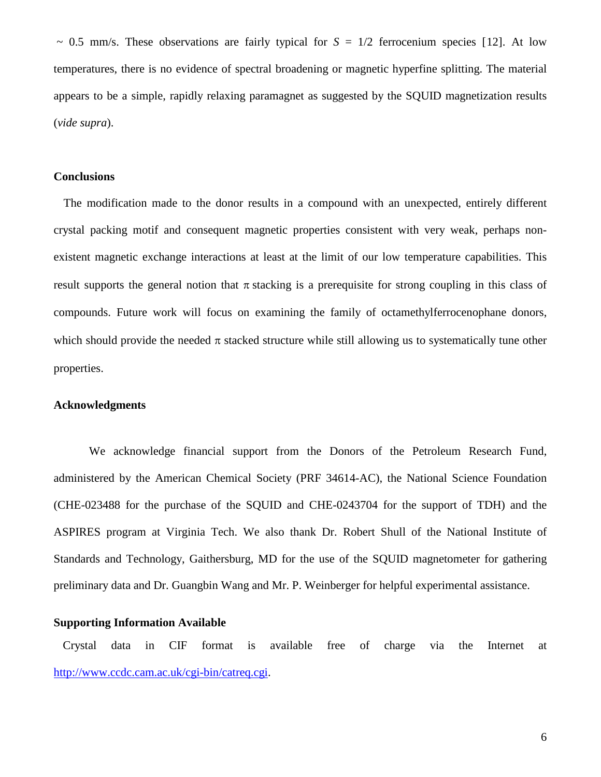$\sim$  0.5 mm/s. These observations are fairly typical for  $S = 1/2$  ferrocenium species [[12\]](#page-11-11). At low temperatures, there is no evidence of spectral broadening or magnetic hyperfine splitting. The material appears to be a simple, rapidly relaxing paramagnet as suggested by the SQUID magnetization results (*vide supra*).

#### **Conclusions**

The modification made to the donor results in a compound with an unexpected, entirely different crystal packing motif and consequent magnetic properties consistent with very weak, perhaps nonexistent magnetic exchange interactions at least at the limit of our low temperature capabilities. This result supports the general notion that  $\pi$  stacking is a prerequisite for strong coupling in this class of compounds. Future work will focus on examining the family of octamethylferrocenophane donors, which should provide the needed  $\pi$  stacked structure while still allowing us to systematically tune other properties.

#### **Acknowledgments**

We acknowledge financial support from the Donors of the Petroleum Research Fund, administered by the American Chemical Society (PRF 34614-AC), the National Science Foundation (CHE-023488 for the purchase of the SQUID and CHE-0243704 for the support of TDH) and the ASPIRES program at Virginia Tech. We also thank Dr. Robert Shull of the National Institute of Standards and Technology, Gaithersburg, MD for the use of the SQUID magnetometer for gathering preliminary data and Dr. Guangbin Wang and Mr. P. Weinberger for helpful experimental assistance.

# **Supporting Information Available**

Crystal data in CIF format is available free of charge via the Internet at [http://www.ccdc.cam.ac.uk/cgi-bin/catreq.cgi.](http://www.ccdc.cam.ac.uk/cgi-bin/catreq.cgi)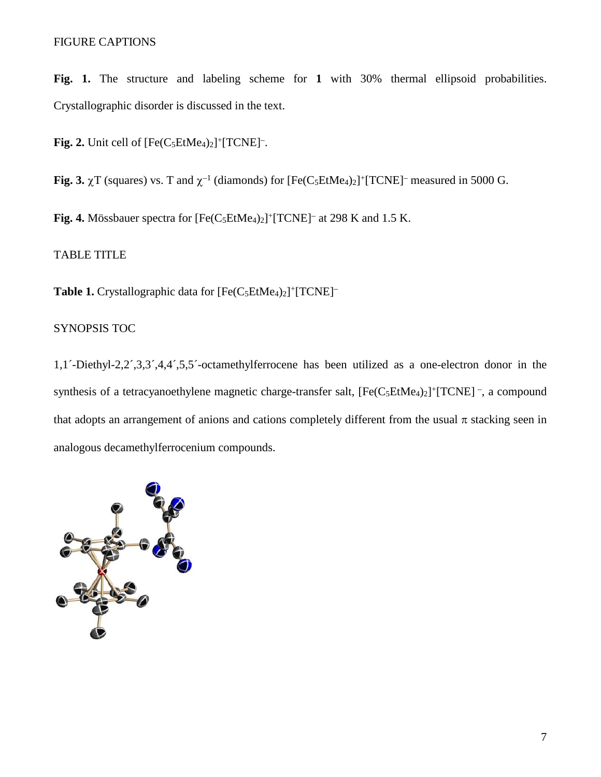# FIGURE CAPTIONS

**Fig. 1.** The structure and labeling scheme for **1** with 30% thermal ellipsoid probabilities. Crystallographic disorder is discussed in the text.

**Fig. 2.** Unit cell of  $[Fe(C_5EtMe_4)_2]^+$  $[TCNE]^-$ .

**Fig. 3.**  $\gamma$ T (squares) vs. T and  $\gamma^{-1}$  (diamonds) for  $[Fe(C_5EtMe_4)_2]^+$ [TCNE]<sup>–</sup> measured in 5000 G.

**Fig. 4.** Mössbauer spectra for  $[Fe(C_5EtMe<sub>4</sub>)<sub>2</sub>]+[TCNE]<sup>-</sup>$  at 298 K and 1.5 K.

# TABLE TITLE

Table 1. Crystallographic data for [Fe(C<sub>5</sub>EtMe<sub>4</sub>)<sub>2</sub>]+[TCNE]<sup>-</sup>

# SYNOPSIS TOC

1,1´-Diethyl-2,2´,3,3´,4,4´,5,5´-octamethylferrocene has been utilized as a one-electron donor in the synthesis of a tetracyanoethylene magnetic charge-transfer salt,  $[Fe(C_5EtMe<sub>4</sub>)<sub>2</sub>]$ <sup>+</sup>[TCNE] –, a compound that adopts an arrangement of anions and cations completely different from the usual  $\pi$  stacking seen in analogous decamethylferrocenium compounds.

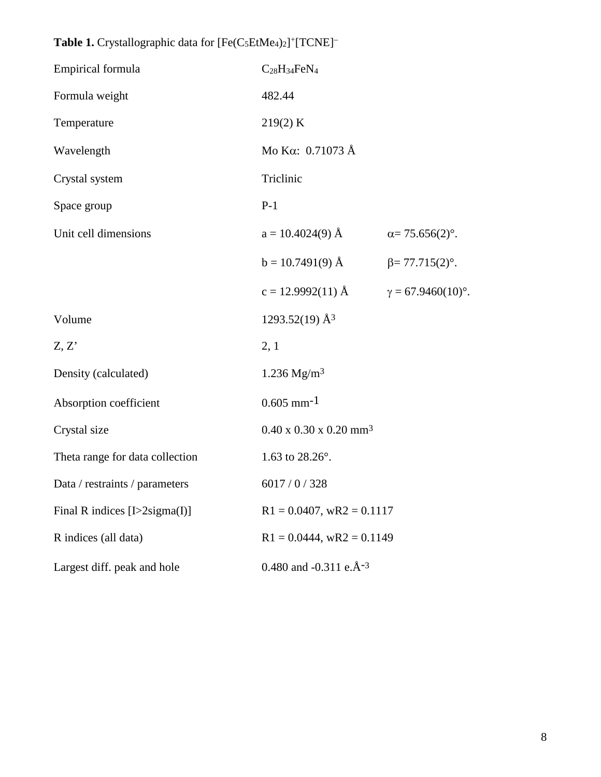| Empirical formula                    | $C_{28}H_{34}FeN_4$                            |                           |
|--------------------------------------|------------------------------------------------|---------------------------|
| Formula weight                       | 482.44                                         |                           |
| Temperature                          | 219(2) K                                       |                           |
| Wavelength                           | Mo K $\alpha$ : 0.71073 Å                      |                           |
| Crystal system                       | Triclinic                                      |                           |
| Space group                          | $P-1$                                          |                           |
| Unit cell dimensions                 | $a = 10.4024(9)$ Å                             | $\alpha = 75.656(2)$ °.   |
|                                      | $b = 10.7491(9)$ Å                             | $\beta = 77.715(2)$ °.    |
|                                      | $c = 12.9992(11)$ Å                            | $\gamma = 67.9460(10)$ °. |
| Volume                               | $1293.52(19)$ Å <sup>3</sup>                   |                           |
| Z, Z'                                | 2, 1                                           |                           |
| Density (calculated)                 | $1.236$ Mg/m <sup>3</sup>                      |                           |
| Absorption coefficient               | $0.605$ mm <sup>-1</sup>                       |                           |
| Crystal size                         | $0.40 \times 0.30 \times 0.20$ mm <sup>3</sup> |                           |
| Theta range for data collection      | 1.63 to $28.26^{\circ}$ .                      |                           |
| Data / restraints / parameters       | 6017 / 0 / 328                                 |                           |
| Final R indices $[L>2$ sigma $(I)$ ] | $R1 = 0.0407$ , wR2 = 0.1117                   |                           |
| R indices (all data)                 | $R1 = 0.0444$ , wR2 = 0.1149                   |                           |
| Largest diff. peak and hole          | 0.480 and -0.311 e. $\AA$ <sup>-3</sup>        |                           |

Table 1. Crystallographic data for  $[Fe(C_5EtMe_4)_2]^+ [TCNE]^-$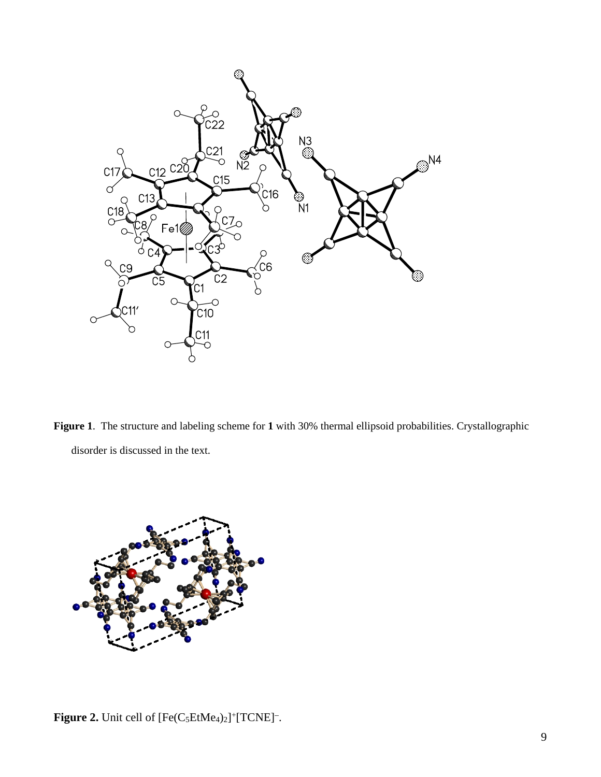

**Figure 1**. The structure and labeling scheme for **1** with 30% thermal ellipsoid probabilities. Crystallographic disorder is discussed in the text.



**Figure 2.** Unit cell of  $[Fe(C_5EtMe<sub>4</sub>)<sub>2</sub>]+[TCNE]$ <sup>-</sup>.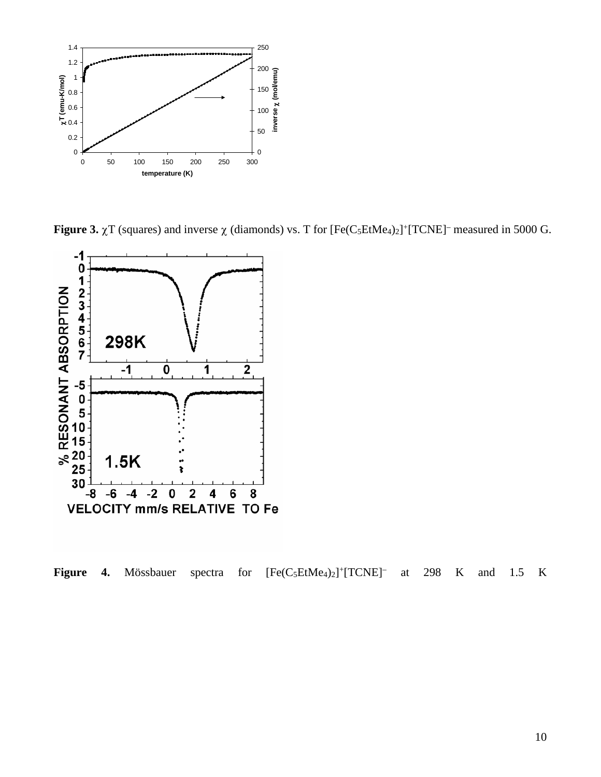

**Figure 3.**  $\chi$ T (squares) and inverse  $\chi$  (diamonds) vs. T for  $[Fe(C_5EtMe_4)_2]^+$ [TCNE]<sup>–</sup> measured in 5000 G.



Figure 4. Mössbauer spectra for  $[Fe(C_5EtMe_4)_2]^+$ [TCNE]<sup>-</sup> at 298 K and 1.5 K